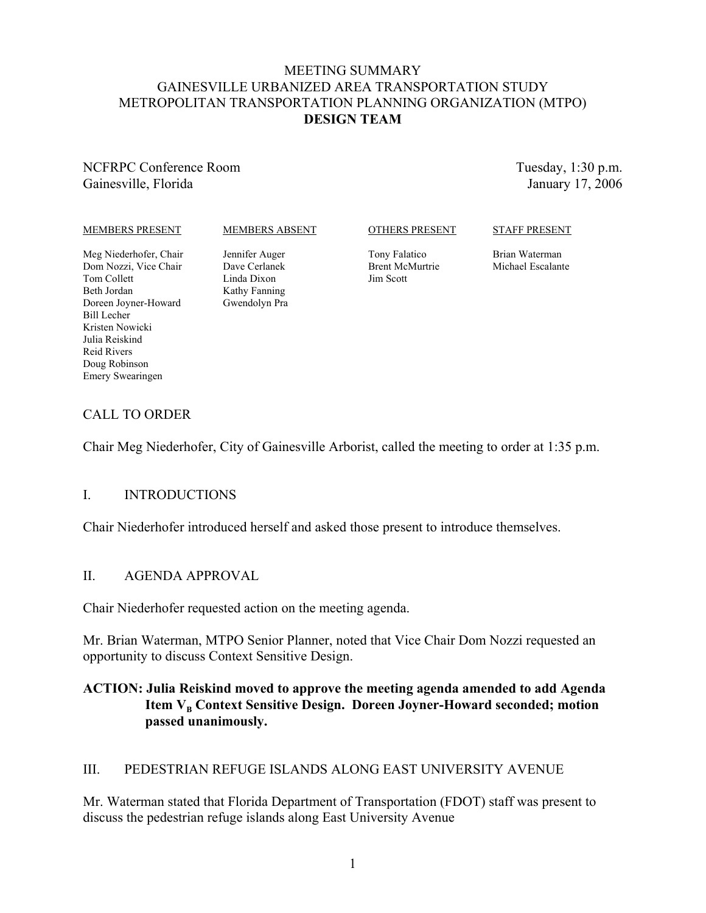#### MEETING SUMMARY GAINESVILLE URBANIZED AREA TRANSPORTATION STUDY METROPOLITAN TRANSPORTATION PLANNING ORGANIZATION (MTPO) **DESIGN TEAM**

NCFRPC Conference Room Gainesville, Florida

Tuesday, 1:30 p.m. January 17, 2006

#### MEMBERS PRESENT

#### MEMBERS ABSENT

#### OTHERS PRESENT

#### STAFF PRESENT

Meg Niederhofer, Chair Dom Nozzi, Vice Chair Tom Collett Beth Jordan Doreen Joyner-Howard Bill Lecher Kristen Nowicki Julia Reiskind Reid Rivers Doug Robinson Emery Swearingen

Jennifer Auger Dave Cerlanek Linda Dixon Kathy Fanning Gwendolyn Pra Tony Falatico Brent McMurtrie Jim Scott

Brian Waterman Michael Escalante

### CALL TO ORDER

Chair Meg Niederhofer, City of Gainesville Arborist, called the meeting to order at 1:35 p.m.

#### I. INTRODUCTIONS

Chair Niederhofer introduced herself and asked those present to introduce themselves.

#### II. AGENDA APPROVAL

Chair Niederhofer requested action on the meeting agenda.

Mr. Brian Waterman, MTPO Senior Planner, noted that Vice Chair Dom Nozzi requested an opportunity to discuss Context Sensitive Design.

### **ACTION: Julia Reiskind moved to approve the meeting agenda amended to add Agenda** Item V<sub>B</sub> Context Sensitive Design. Doreen Joyner-Howard seconded; motion **passed unanimously.**

### III. PEDESTRIAN REFUGE ISLANDS ALONG EAST UNIVERSITY AVENUE

Mr. Waterman stated that Florida Department of Transportation (FDOT) staff was present to discuss the pedestrian refuge islands along East University Avenue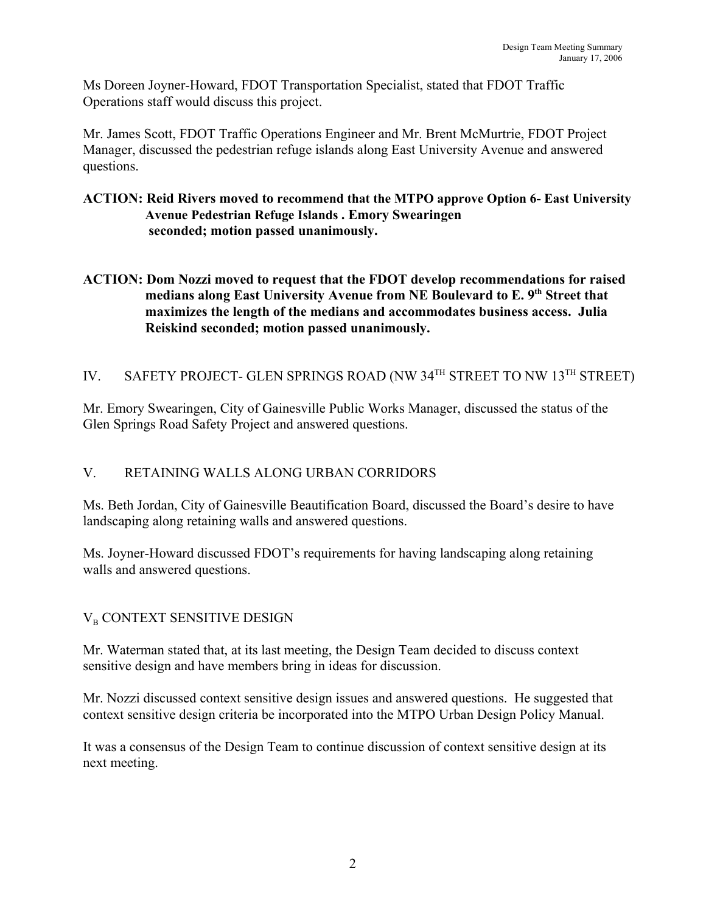Ms Doreen Joyner-Howard, FDOT Transportation Specialist, stated that FDOT Traffic Operations staff would discuss this project.

Mr. James Scott, FDOT Traffic Operations Engineer and Mr. Brent McMurtrie, FDOT Project Manager, discussed the pedestrian refuge islands along East University Avenue and answered questions.

### **ACTION: Reid Rivers moved to recommend that the MTPO approve Option 6- East University Avenue Pedestrian Refuge Islands . Emory Swearingen seconded; motion passed unanimously.**

### **ACTION: Dom Nozzi moved to request that the FDOT develop recommendations for raised** medians along East University Avenue from NE Boulevard to E. 9<sup>th</sup> Street that **maximizes the length of the medians and accommodates business access. Julia Reiskind seconded; motion passed unanimously.**

# IV. SAFETY PROJECT- GLEN SPRINGS ROAD (NW 34<sup>TH</sup> STREET TO NW 13<sup>TH</sup> STREET)

Mr. Emory Swearingen, City of Gainesville Public Works Manager, discussed the status of the Glen Springs Road Safety Project and answered questions.

# V. RETAINING WALLS ALONG URBAN CORRIDORS

Ms. Beth Jordan, City of Gainesville Beautification Board, discussed the Board's desire to have landscaping along retaining walls and answered questions.

Ms. Joyner-Howard discussed FDOT's requirements for having landscaping along retaining walls and answered questions.

# $V_{\rm B}$  CONTEXT SENSITIVE DESIGN

Mr. Waterman stated that, at its last meeting, the Design Team decided to discuss context sensitive design and have members bring in ideas for discussion.

Mr. Nozzi discussed context sensitive design issues and answered questions. He suggested that context sensitive design criteria be incorporated into the MTPO Urban Design Policy Manual.

It was a consensus of the Design Team to continue discussion of context sensitive design at its next meeting.